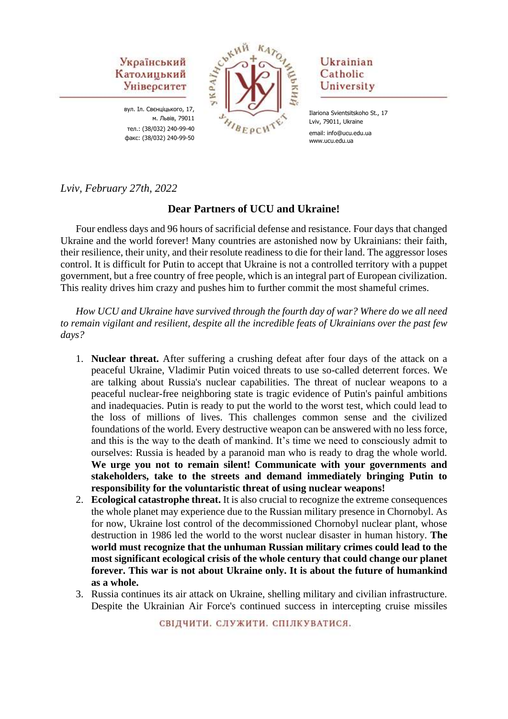

вул. Іл. Свєнціцького, 17, м. Львів, 79011 тел.: (38/032) 240-99-40 факс: (38/032) 240-99-50



# Ukrainian Catholic University

Ilariona Svientsitskoho St., 17 Lviv, 79011, Ukraine email: info@ucu.edu.ua www.ucu.edu.ua

*Lviv, February 27th, 2022*

### **Dear Partners of UCU and Ukraine!**

Four endless days and 96 hours of sacrificial defense and resistance. Four days that changed Ukraine and the world forever! Many countries are astonished now by Ukrainians: their faith, their resilience, their unity, and their resolute readiness to die for their land. The aggressor loses control. It is difficult for Putin to accept that Ukraine is not a controlled territory with a puppet government, but a free country of free people, which is an integral part of European civilization. This reality drives him crazy and pushes him to further commit the most shameful crimes.

*How UCU and Ukraine have survived through the fourth day of war? Where do we all need to remain vigilant and resilient, despite all the incredible feats of Ukrainians over the past few days?*

- 1. **Nuclear threat.** After suffering a crushing defeat after four days of the attack on a peaceful Ukraine, Vladimir Putin voiced threats to use so-called deterrent forces. We are talking about Russia's nuclear capabilities. The threat of nuclear weapons to a peaceful nuclear-free neighboring state is tragic evidence of Putin's painful ambitions and inadequacies. Putin is ready to put the world to the worst test, which could lead to the loss of millions of lives. This challenges common sense and the civilized foundations of the world. Every destructive weapon can be answered with no less force, and this is the way to the death of mankind. It's time we need to consciously admit to ourselves: Russia is headed by a paranoid man who is ready to drag the whole world. **We urge you not to remain silent! Communicate with your governments and stakeholders, take to the streets and demand immediately bringing Putin to responsibility for the voluntaristic threat of using nuclear weapons!**
- 2. **Ecological catastrophe threat.** It is also crucial to recognize the extreme consequences the whole planet may experience due to the Russian military presence in Chornobyl. As for now, Ukraine lost control of the decommissioned Chornobyl nuclear plant, whose destruction in 1986 led the world to the worst nuclear disaster in human history. **The world must recognize that the unhuman Russian military crimes could lead to the most significant ecological crisis of the whole century that could change our planet forever. This war is not about Ukraine only. It is about the future of humankind as a whole.**
- 3. Russia continues its air attack on Ukraine, shelling military and civilian infrastructure. Despite the Ukrainian Air Force's continued success in intercepting cruise missiles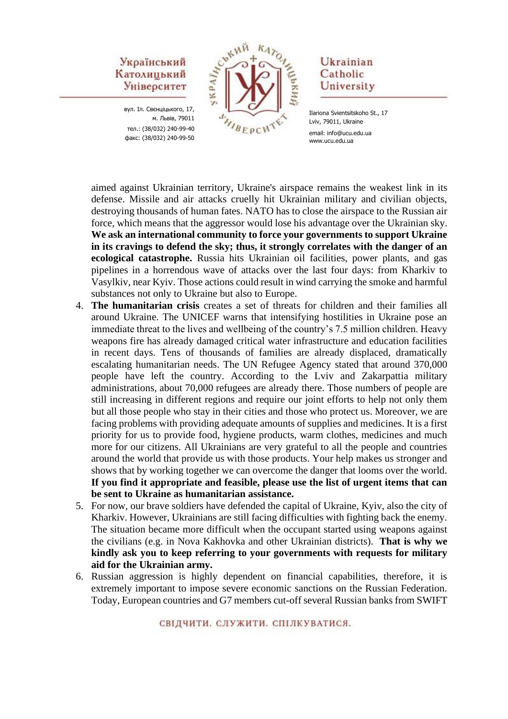вул. Іл. Свєнціцького, 17, м. Львів, 79011 тел.: (38/032) 240-99-40 факс: (38/032) 240-99-50



## Ukrainian Catholic University

aimed against Ukrainian territory, Ukraine's airspace remains the weakest link in its defense. Missile and air attacks cruelly hit Ukrainian military and civilian objects, destroying thousands of human fates. NATO has to close the airspace to the Russian air force, which means that the aggressor would lose his advantage over the Ukrainian sky. **We ask an international community to force your governments to support Ukraine in its cravings to defend the sky; thus, it strongly correlates with the danger of an ecological catastrophe.** Russia hits Ukrainian oil facilities, power plants, and gas pipelines in a horrendous wave of attacks over the last four days: from Kharkiv to Vasylkiv, near Kyiv. Those actions could result in wind carrying the smoke and harmful substances not only to Ukraine but also to Europe.

- 4. **The humanitarian crisis** creates a set of threats for children and their families all around Ukraine. The UNICEF warns that intensifying hostilities in Ukraine pose an immediate threat to the lives and wellbeing of the country's 7.5 million children. Heavy weapons fire has already damaged critical water infrastructure and education facilities in recent days. Tens of thousands of families are already displaced, dramatically escalating humanitarian needs. The UN Refugee Agency stated that around 370,000 people have left the country. According to the Lviv and Zakarpattia military administrations, about 70,000 refugees are already there. Those numbers of people are still increasing in different regions and require our joint efforts to help not only them but all those people who stay in their cities and those who protect us. Moreover, we are facing problems with providing adequate amounts of supplies and medicines. It is a first priority for us to provide food, hygiene products, warm clothes, medicines and much more for our citizens. All Ukrainians are very grateful to all the people and countries around the world that provide us with those products. Your help makes us stronger and shows that by working together we can overcome the danger that looms over the world. **If you find it appropriate and feasible, please use the list of urgent items that can be sent to Ukraine as humanitarian assistance.**
- 5. For now, our brave soldiers have defended the capital of Ukraine, Kyiv, also the city of Kharkiv. However, Ukrainians are still facing difficulties with fighting back the enemy. The situation became more difficult when the occupant started using weapons against the civilians (e.g. in Nova Kakhovka and other Ukrainian districts). **That is why we kindly ask you to keep referring to your governments with requests for military aid for the Ukrainian army.**
- 6. Russian aggression is highly dependent on financial capabilities, therefore, it is extremely important to impose severe economic sanctions on the Russian Federation. Today, European countries and G7 members cut-off several Russian banks from SWIFT

Ilariona Svientsitskoho St., 17 Lviv, 79011, Ukraine email: info@ucu.edu.ua www.ucu.edu.ua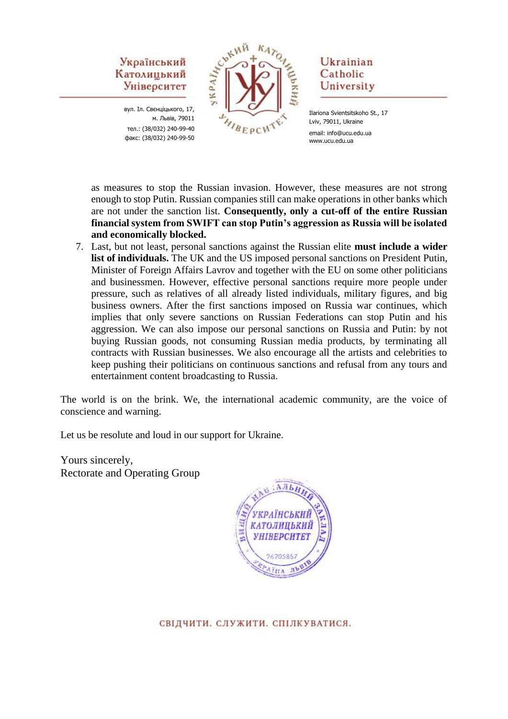вул. Іл. Свєнціцького, 17, м. Львів, 79011 тел.: (38/032) 240-99-40 факс: (38/032) 240-99-50



# Ukrainian Catholic University

Ilariona Svientsitskoho St., 17 Lviv, 79011, Ukraine email: info@ucu.edu.ua www.ucu.edu.ua

as measures to stop the Russian invasion. However, these measures are not strong enough to stop Putin. Russian companies still can make operations in other banks which are not under the sanction list. **Consequently, only a cut-off of the entire Russian financial system from SWIFT can stop Putin's aggression as Russia will be isolated and economically blocked.**

7. Last, but not least, personal sanctions against the Russian elite **must include a wider list of individuals.** The UK and the US imposed personal sanctions on President Putin, Minister of Foreign Affairs Lavrov and together with the EU on some other politicians and businessmen. However, effective personal sanctions require more people under pressure, such as relatives of all already listed individuals, military figures, and big business owners. After the first sanctions imposed on Russia war continues, which implies that only severe sanctions on Russian Federations can stop Putin and his aggression. We can also impose our personal sanctions on Russia and Putin: by not buying Russian goods, not consuming Russian media products, by terminating all contracts with Russian businesses. We also encourage all the artists and celebrities to keep pushing their politicians on continuous sanctions and refusal from any tours and entertainment content broadcasting to Russia.

The world is on the brink. We, the international academic community, are the voice of conscience and warning.

Let us be resolute and loud in our support for Ukraine.

Yours sincerely, Rectorate and Operating Group

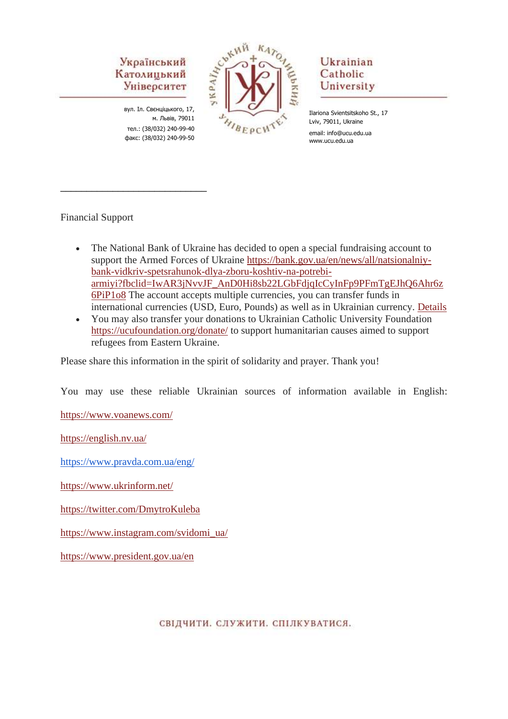вул. Іл. Свєнціцького, 17, м. Львів, 79011 тел.: (38/032) 240-99-40 факс: (38/032) 240-99-50

\_\_\_\_\_\_\_\_\_\_\_\_\_\_\_\_\_\_\_\_\_\_\_\_\_\_\_\_



# Ukrainian Catholic University

Ilariona Svientsitskoho St., 17 Lviv, 79011, Ukraine email: info@ucu.edu.ua www.ucu.edu.ua

# Financial Support

- The National Bank of Ukraine has decided to open a special fundraising account to support the Armed Forces of Ukraine [https://bank.gov.ua/en/news/all/natsionalniy](https://bank.gov.ua/en/news/all/natsionalniy-bank-vidkriv-spetsrahunok-dlya-zboru-koshtiv-na-potrebi-armiyi?fbclid=IwAR3jNvvJF_AnD0Hi8sb22LGbFdjqIcCyInFp9PFmTgEJhQ6Ahr6z6PiP1o8)[bank-vidkriv-spetsrahunok-dlya-zboru-koshtiv-na-potrebi](https://bank.gov.ua/en/news/all/natsionalniy-bank-vidkriv-spetsrahunok-dlya-zboru-koshtiv-na-potrebi-armiyi?fbclid=IwAR3jNvvJF_AnD0Hi8sb22LGbFdjqIcCyInFp9PFmTgEJhQ6Ahr6z6PiP1o8)[armiyi?fbclid=IwAR3jNvvJF\\_AnD0Hi8sb22LGbFdjqIcCyInFp9PFmTgEJhQ6Ahr6z](https://bank.gov.ua/en/news/all/natsionalniy-bank-vidkriv-spetsrahunok-dlya-zboru-koshtiv-na-potrebi-armiyi?fbclid=IwAR3jNvvJF_AnD0Hi8sb22LGbFdjqIcCyInFp9PFmTgEJhQ6Ahr6z6PiP1o8) [6PiP1o8](https://bank.gov.ua/en/news/all/natsionalniy-bank-vidkriv-spetsrahunok-dlya-zboru-koshtiv-na-potrebi-armiyi?fbclid=IwAR3jNvvJF_AnD0Hi8sb22LGbFdjqIcCyInFp9PFmTgEJhQ6Ahr6z6PiP1o8) The account accepts multiple currencies, you can transfer funds in international currencies (USD, Euro, Pounds) as well as in Ukrainian currency. [Details](https://bank.gov.ua/en/news/all/natsionalniy-bank-vidkriv-spetsrahunok-dlya-zboru-koshtiv-na-potrebi-armiyi?fbclid=IwAR3jNvvJF_AnD0Hi8sb22LGbFdjqIcCyInFp9PFmTgEJhQ6Ahr6z6PiP1o8)
- You may also transfer your donations to Ukrainian Catholic University Foundation <https://ucufoundation.org/donate/> to support humanitarian causes aimed to support refugees from Eastern Ukraine.

Please share this information in the spirit of solidarity and prayer. Thank you!

You may use these reliable Ukrainian sources of information available in English:

<https://www.voanews.com/>

<https://english.nv.ua/>

<https://www.pravda.com.ua/eng/>

<https://www.ukrinform.net/>

<https://twitter.com/DmytroKuleba>

[https://www.instagram.com/svidomi\\_ua/](https://www.instagram.com/svidomi_ua/)

<https://www.president.gov.ua/en>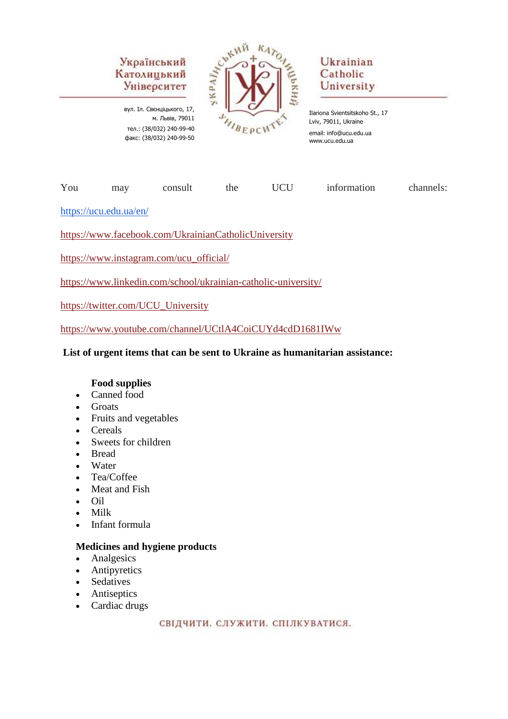вул. Іл. Свєнціцького, 17, м. Львів, 79011 тел.: (38/032) 240-99-40 факс: (38/032) 240-99-50



# Ukrainian Catholic University

Ilariona Svientsitskoho St., 17 Lviv, 79011, Ukraine email: info@ucu.edu.ua www.ucu.edu.ua

| You | mav | consult | the | <b>UCU</b> | information | channels: |
|-----|-----|---------|-----|------------|-------------|-----------|
|-----|-----|---------|-----|------------|-------------|-----------|

<https://ucu.edu.ua/en/>

<https://www.facebook.com/UkrainianCatholicUniversity>

[https://www.instagram.com/ucu\\_official/](https://www.instagram.com/ucu_official/)

<https://www.linkedin.com/school/ukrainian-catholic-university/>

[https://twitter.com/UCU\\_University](https://twitter.com/UCU_University)

<https://www.youtube.com/channel/UCtlA4CoiCUYd4cdD1681IWw>

#### **List of urgent items that can be sent to Ukraine as humanitarian assistance:**

#### **Food supplies**

- Canned food
- Groats
- Fruits and vegetables
- Cereals
- Sweets for children
- Bread
- Water
- Tea/Coffee
- Meat and Fish
- Oil
- Milk
- Infant formula

#### **Medicines and hygiene products**

- Analgesics
- Antipyretics
- Sedatives
- **Antiseptics**
- Cardiac drugs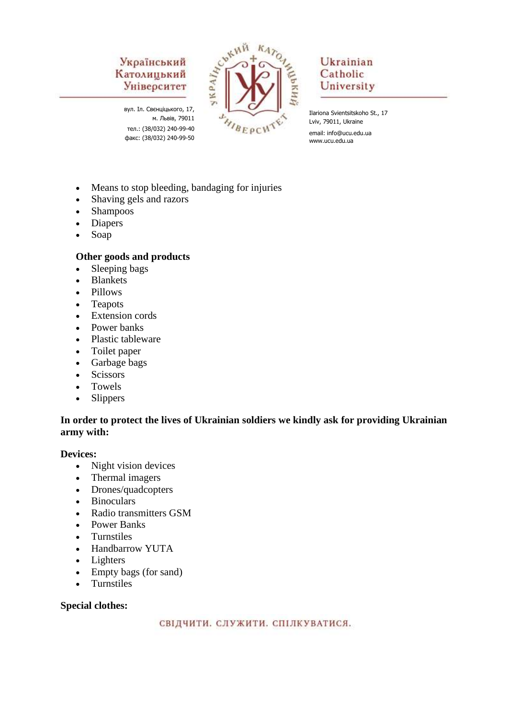вул. Іл. Свєнціцького, 17, м. Львів, 79011 тел.: (38/032) 240-99-40 факс: (38/032) 240-99-50



# Ukrainian Catholic University

Ilariona Svientsitskoho St., 17 Lviv, 79011, Ukraine email: info@ucu.edu.ua www.ucu.edu.ua

- Means to stop bleeding, bandaging for injuries
- Shaving gels and razors
- Shampoos
- Diapers
- Soap

### **Other goods and products**

- Sleeping bags
- Blankets
- Pillows
- Teapots
- Extension cords
- Power banks
- Plastic tableware
- Toilet paper
- Garbage bags
- Scissors
- Towels
- Slippers

### **In order to protect the lives of Ukrainian soldiers we kindly ask for providing Ukrainian army with:**

#### **Devices:**

- Night vision devices
- Thermal imagers
- Drones/quadcopters
- Binoculars
- Radio transmitters GSM
- Power Banks
- Turnstiles
- Handbarrow YUTA
- Lighters
- Empty bags (for sand)
- Turnstiles

#### **Special clothes:**